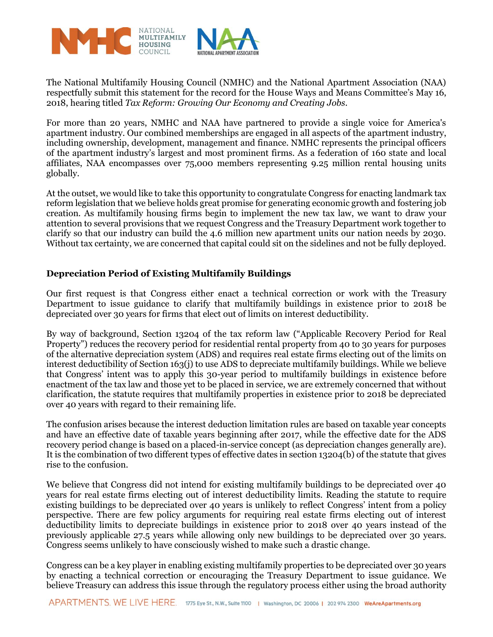

The National Multifamily Housing Council (NMHC) and the National Apartment Association (NAA) respectfully submit this statement for the record for the House Ways and Means Committee's May 16, 2018, hearing titled *Tax Reform: Growing Our Economy and Creating Jobs.* 

For more than 20 years, NMHC and NAA have partnered to provide a single voice for America's apartment industry. Our combined memberships are engaged in all aspects of the apartment industry, including ownership, development, management and finance. NMHC represents the principal officers of the apartment industry's largest and most prominent firms. As a federation of 160 state and local affiliates, NAA encompasses over 75,000 members representing 9.25 million rental housing units globally.

At the outset, we would like to take this opportunity to congratulate Congress for enacting landmark tax reform legislation that we believe holds great promise for generating economic growth and fostering job creation. As multifamily housing firms begin to implement the new tax law, we want to draw your attention to several provisions that we request Congress and the Treasury Department work together to clarify so that our industry can build the 4.6 million new apartment units our nation needs by 2030. Without tax certainty, we are concerned that capital could sit on the sidelines and not be fully deployed.

## **Depreciation Period of Existing Multifamily Buildings**

Our first request is that Congress either enact a technical correction or work with the Treasury Department to issue guidance to clarify that multifamily buildings in existence prior to 2018 be depreciated over 30 years for firms that elect out of limits on interest deductibility.

By way of background, Section 13204 of the tax reform law ("Applicable Recovery Period for Real Property") reduces the recovery period for residential rental property from 40 to 30 years for purposes of the alternative depreciation system (ADS) and requires real estate firms electing out of the limits on interest deductibility of Section 163(j) to use ADS to depreciate multifamily buildings. While we believe that Congress' intent was to apply this 30-year period to multifamily buildings in existence before enactment of the tax law and those yet to be placed in service, we are extremely concerned that without clarification, the statute requires that multifamily properties in existence prior to 2018 be depreciated over 40 years with regard to their remaining life.

The confusion arises because the interest deduction limitation rules are based on taxable year concepts and have an effective date of taxable years beginning after 2017, while the effective date for the ADS recovery period change is based on a placed-in-service concept (as depreciation changes generally are). It is the combination of two different types of effective dates in section 13204(b) of the statute that gives rise to the confusion.

We believe that Congress did not intend for existing multifamily buildings to be depreciated over 40 years for real estate firms electing out of interest deductibility limits. Reading the statute to require existing buildings to be depreciated over 40 years is unlikely to reflect Congress' intent from a policy perspective. There are few policy arguments for requiring real estate firms electing out of interest deductibility limits to depreciate buildings in existence prior to 2018 over 40 years instead of the previously applicable 27.5 years while allowing only new buildings to be depreciated over 30 years. Congress seems unlikely to have consciously wished to make such a drastic change.

Congress can be a key player in enabling existing multifamily properties to be depreciated over 30 years by enacting a technical correction or encouraging the Treasury Department to issue guidance. We believe Treasury can address this issue through the regulatory process either using the broad authority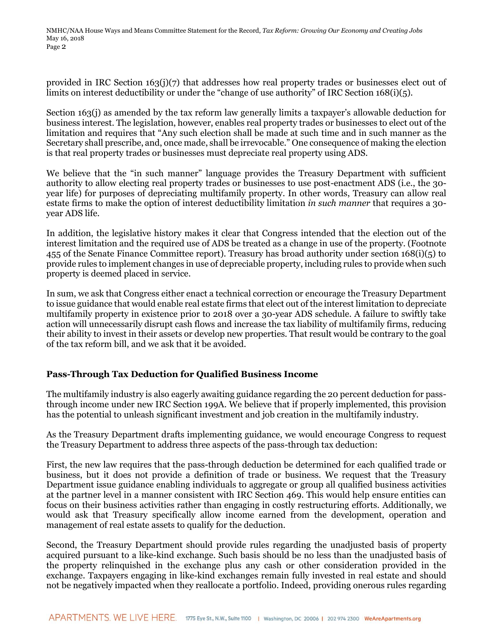provided in IRC Section 163(j)(7) that addresses how real property trades or businesses elect out of limits on interest deductibility or under the "change of use authority" of IRC Section 168(i)(5).

Section 163(j) as amended by the tax reform law generally limits a taxpayer's allowable deduction for business interest. The legislation, however, enables real property trades or businesses to elect out of the limitation and requires that "Any such election shall be made at such time and in such manner as the Secretary shall prescribe, and, once made, shall be irrevocable." One consequence of making the election is that real property trades or businesses must depreciate real property using ADS.

We believe that the "in such manner" language provides the Treasury Department with sufficient authority to allow electing real property trades or businesses to use post-enactment ADS (i.e., the 30 year life) for purposes of depreciating multifamily property. In other words, Treasury can allow real estate firms to make the option of interest deductibility limitation *in such manner* that requires a 30 year ADS life.

In addition, the legislative history makes it clear that Congress intended that the election out of the interest limitation and the required use of ADS be treated as a change in use of the property. (Footnote 455 of the Senate Finance Committee report). Treasury has broad authority under section 168(i)(5) to provide rules to implement changes in use of depreciable property, including rules to provide when such property is deemed placed in service.

In sum, we ask that Congress either enact a technical correction or encourage the Treasury Department to issue guidance that would enable real estate firms that elect out of the interest limitation to depreciate multifamily property in existence prior to 2018 over a 30-year ADS schedule. A failure to swiftly take action will unnecessarily disrupt cash flows and increase the tax liability of multifamily firms, reducing their ability to invest in their assets or develop new properties. That result would be contrary to the goal of the tax reform bill, and we ask that it be avoided.

## **Pass-Through Tax Deduction for Qualified Business Income**

The multifamily industry is also eagerly awaiting guidance regarding the 20 percent deduction for passthrough income under new IRC Section 199A. We believe that if properly implemented, this provision has the potential to unleash significant investment and job creation in the multifamily industry.

As the Treasury Department drafts implementing guidance, we would encourage Congress to request the Treasury Department to address three aspects of the pass-through tax deduction:

First, the new law requires that the pass-through deduction be determined for each qualified trade or business, but it does not provide a definition of trade or business. We request that the Treasury Department issue guidance enabling individuals to aggregate or group all qualified business activities at the partner level in a manner consistent with IRC Section 469. This would help ensure entities can focus on their business activities rather than engaging in costly restructuring efforts. Additionally, we would ask that Treasury specifically allow income earned from the development, operation and management of real estate assets to qualify for the deduction.

Second, the Treasury Department should provide rules regarding the unadjusted basis of property acquired pursuant to a like-kind exchange. Such basis should be no less than the unadjusted basis of the property relinquished in the exchange plus any cash or other consideration provided in the exchange. Taxpayers engaging in like-kind exchanges remain fully invested in real estate and should not be negatively impacted when they reallocate a portfolio. Indeed, providing onerous rules regarding